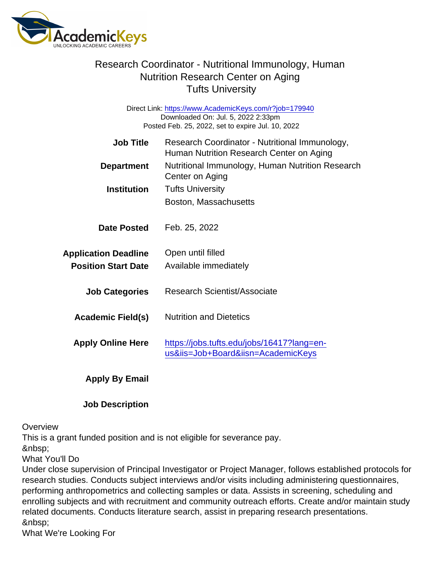## Research Coordinator - Nutritional Immunology, Human Nutrition Research Center on Aging Tufts University

Direct Link: <https://www.AcademicKeys.com/r?job=179940> Downloaded On: Jul. 5, 2022 2:33pm Posted Feb. 25, 2022, set to expire Jul. 10, 2022

| Job Title                   | Research Coordinator - Nutritional Immunology,<br>Human Nutrition Research Center on Aging |
|-----------------------------|--------------------------------------------------------------------------------------------|
| Department                  | Nutritional Immunology, Human Nutrition Research<br>Center on Aging                        |
| Institution                 | <b>Tufts University</b>                                                                    |
|                             | Boston, Massachusetts                                                                      |
| Date Posted                 | Feb. 25, 2022                                                                              |
| <b>Application Deadline</b> | Open until filled                                                                          |
| <b>Position Start Date</b>  | Available immediately                                                                      |
| <b>Job Categories</b>       | Research Scientist/Associate                                                               |
| Academic Field(s)           | <b>Nutrition and Dietetics</b>                                                             |
| <b>Apply Online Here</b>    | https://jobs.tufts.edu/jobs/16417?lang=en-<br>us&iis=Job+Board&iisn=AcademicKeys           |
| Apply By Email              |                                                                                            |

Job Description

## **Overview**

This is a grant funded position and is not eligible for severance pay.

&nbsp:

What You'll Do

Under close supervision of Principal Investigator or Project Manager, follows established protocols for research studies. Conducts subject interviews and/or visits including administering questionnaires, performing anthropometrics and collecting samples or data. Assists in screening, scheduling and enrolling subjects and with recruitment and community outreach efforts. Create and/or maintain study related documents. Conducts literature search, assist in preparing research presentations. &nbsp:

What We're Looking For